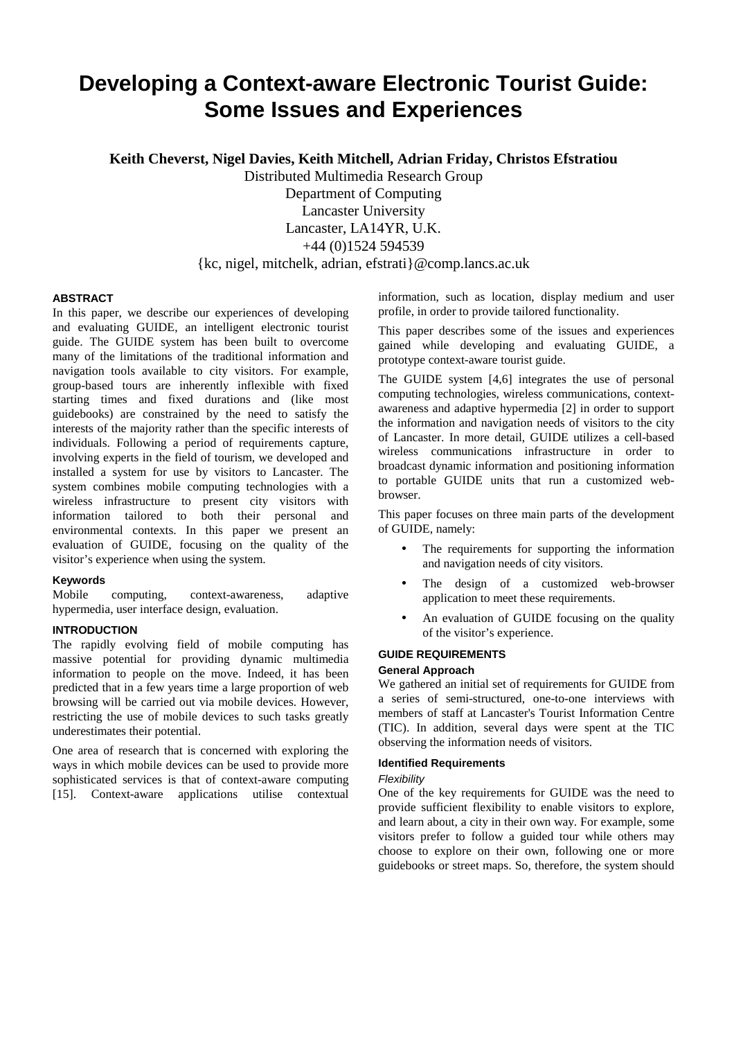# **Developing a Context-aware Electronic Tourist Guide: Some Issues and Experiences**

**Keith Cheverst, Nigel Davies, Keith Mitchell, Adrian Friday, Christos Efstratiou** 

Distributed Multimedia Research Group

Department of Computing Lancaster University Lancaster, LA14YR, U.K.

+44 (0)1524 594539

# {kc, nigel, mitchelk, adrian, efstrati}@comp.lancs.ac.uk

# **ABSTRACT**

In this paper, we describe our experiences of developing and evaluating GUIDE, an intelligent electronic tourist guide. The GUIDE system has been built to overcome many of the limitations of the traditional information and navigation tools available to city visitors. For example, group-based tours are inherently inflexible with fixed starting times and fixed durations and (like most guidebooks) are constrained by the need to satisfy the interests of the majority rather than the specific interests of individuals. Following a period of requirements capture, involving experts in the field of tourism, we developed and installed a system for use by visitors to Lancaster. The system combines mobile computing technologies with a wireless infrastructure to present city visitors with information tailored to both their personal and environmental contexts. In this paper we present an evaluation of GUIDE, focusing on the quality of the visitor's experience when using the system.

## **Keywords**

Mobile computing, context-awareness, adaptive hypermedia, user interface design, evaluation.

## **INTRODUCTION**

The rapidly evolving field of mobile computing has massive potential for providing dynamic multimedia information to people on the move. Indeed, it has been predicted that in a few years time a large proportion of web browsing will be carried out via mobile devices. However, restricting the use of mobile devices to such tasks greatly underestimates their potential.

One area of research that is concerned with exploring the ways in which mobile devices can be used to provide more sophisticated services is that of context-aware computing [15]. Context-aware applications utilise contextual information, such as location, display medium and user profile, in order to provide tailored functionality.

This paper describes some of the issues and experiences gained while developing and evaluating GUIDE, a prototype context-aware tourist guide.

The GUIDE system [4,6] integrates the use of personal computing technologies, wireless communications, contextawareness and adaptive hypermedia [2] in order to support the information and navigation needs of visitors to the city of Lancaster. In more detail, GUIDE utilizes a cell-based wireless communications infrastructure in order to broadcast dynamic information and positioning information to portable GUIDE units that run a customized webbrowser.

This paper focuses on three main parts of the development of GUIDE, namely:

- The requirements for supporting the information and navigation needs of city visitors.
- The design of a customized web-browser application to meet these requirements.
- An evaluation of GUIDE focusing on the quality of the visitor's experience.

## **GUIDE REQUIREMENTS**

## **General Approach**

We gathered an initial set of requirements for GUIDE from a series of semi-structured, one-to-one interviews with members of staff at Lancaster's Tourist Information Centre (TIC). In addition, several days were spent at the TIC observing the information needs of visitors.

## **Identified Requirements**

## *Flexibility*

One of the key requirements for GUIDE was the need to provide sufficient flexibility to enable visitors to explore, and learn about, a city in their own way. For example, some visitors prefer to follow a guided tour while others may choose to explore on their own, following one or more guidebooks or street maps. So, therefore, the system should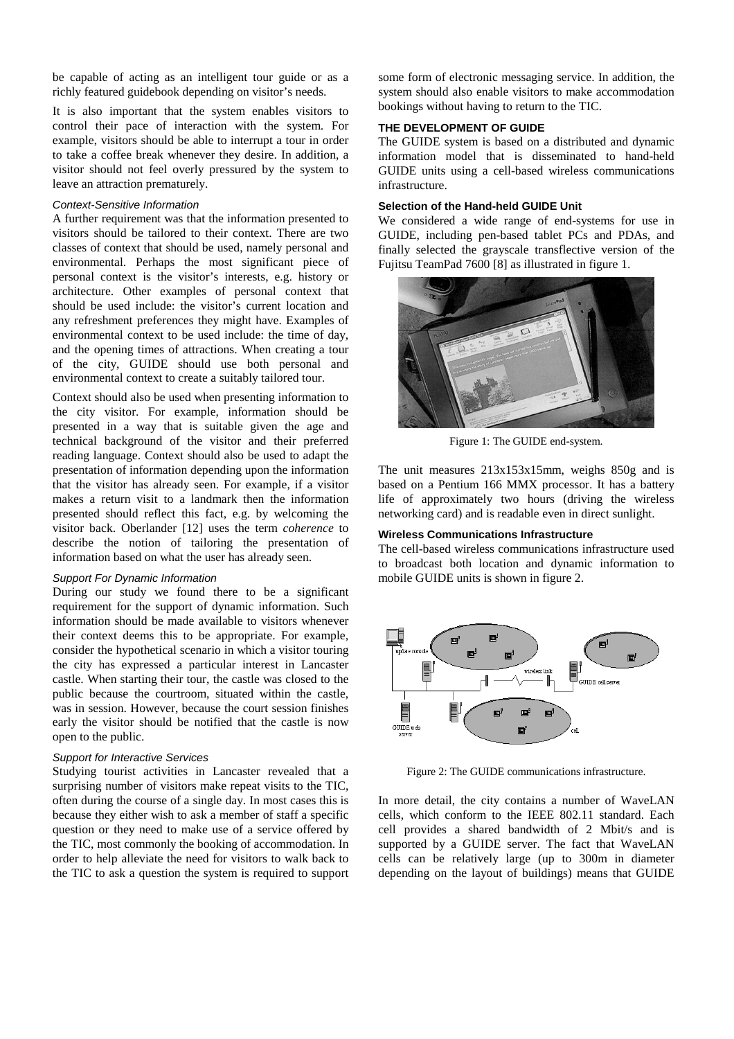be capable of acting as an intelligent tour guide or as a richly featured guidebook depending on visitor's needs.

It is also important that the system enables visitors to control their pace of interaction with the system. For example, visitors should be able to interrupt a tour in order to take a coffee break whenever they desire. In addition, a visitor should not feel overly pressured by the system to leave an attraction prematurely.

#### *Context-Sensitive Information*

A further requirement was that the information presented to visitors should be tailored to their context. There are two classes of context that should be used, namely personal and environmental. Perhaps the most significant piece of personal context is the visitor's interests, e.g. history or architecture. Other examples of personal context that should be used include: the visitor's current location and any refreshment preferences they might have. Examples of environmental context to be used include: the time of day, and the opening times of attractions. When creating a tour of the city, GUIDE should use both personal and environmental context to create a suitably tailored tour.

Context should also be used when presenting information to the city visitor. For example, information should be presented in a way that is suitable given the age and technical background of the visitor and their preferred reading language. Context should also be used to adapt the presentation of information depending upon the information that the visitor has already seen. For example, if a visitor makes a return visit to a landmark then the information presented should reflect this fact, e.g. by welcoming the visitor back. Oberlander [12] uses the term *coherence* to describe the notion of tailoring the presentation of information based on what the user has already seen.

## *Support For Dynamic Information*

During our study we found there to be a significant requirement for the support of dynamic information. Such information should be made available to visitors whenever their context deems this to be appropriate. For example, consider the hypothetical scenario in which a visitor touring the city has expressed a particular interest in Lancaster castle. When starting their tour, the castle was closed to the public because the courtroom, situated within the castle, was in session. However, because the court session finishes early the visitor should be notified that the castle is now open to the public.

#### *Support for Interactive Services*

Studying tourist activities in Lancaster revealed that a surprising number of visitors make repeat visits to the TIC, often during the course of a single day. In most cases this is because they either wish to ask a member of staff a specific question or they need to make use of a service offered by the TIC, most commonly the booking of accommodation. In order to help alleviate the need for visitors to walk back to the TIC to ask a question the system is required to support some form of electronic messaging service. In addition, the system should also enable visitors to make accommodation bookings without having to return to the TIC.

#### **THE DEVELOPMENT OF GUIDE**

The GUIDE system is based on a distributed and dynamic information model that is disseminated to hand-held GUIDE units using a cell-based wireless communications infrastructure.

## **Selection of the Hand-held GUIDE Unit**

We considered a wide range of end-systems for use in GUIDE, including pen-based tablet PCs and PDAs, and finally selected the grayscale transflective version of the Fujitsu TeamPad 7600 [8] as illustrated in figure 1.



Figure 1: The GUIDE end-system.

The unit measures 213x153x15mm, weighs 850g and is based on a Pentium 166 MMX processor. It has a battery life of approximately two hours (driving the wireless networking card) and is readable even in direct sunlight.

## **Wireless Communications Infrastructure**

The cell-based wireless communications infrastructure used to broadcast both location and dynamic information to mobile GUIDE units is shown in figure 2.



Figure 2: The GUIDE communications infrastructure.

In more detail, the city contains a number of WaveLAN cells, which conform to the IEEE 802.11 standard. Each cell provides a shared bandwidth of 2 Mbit/s and is supported by a GUIDE server. The fact that WaveLAN cells can be relatively large (up to 300m in diameter depending on the layout of buildings) means that GUIDE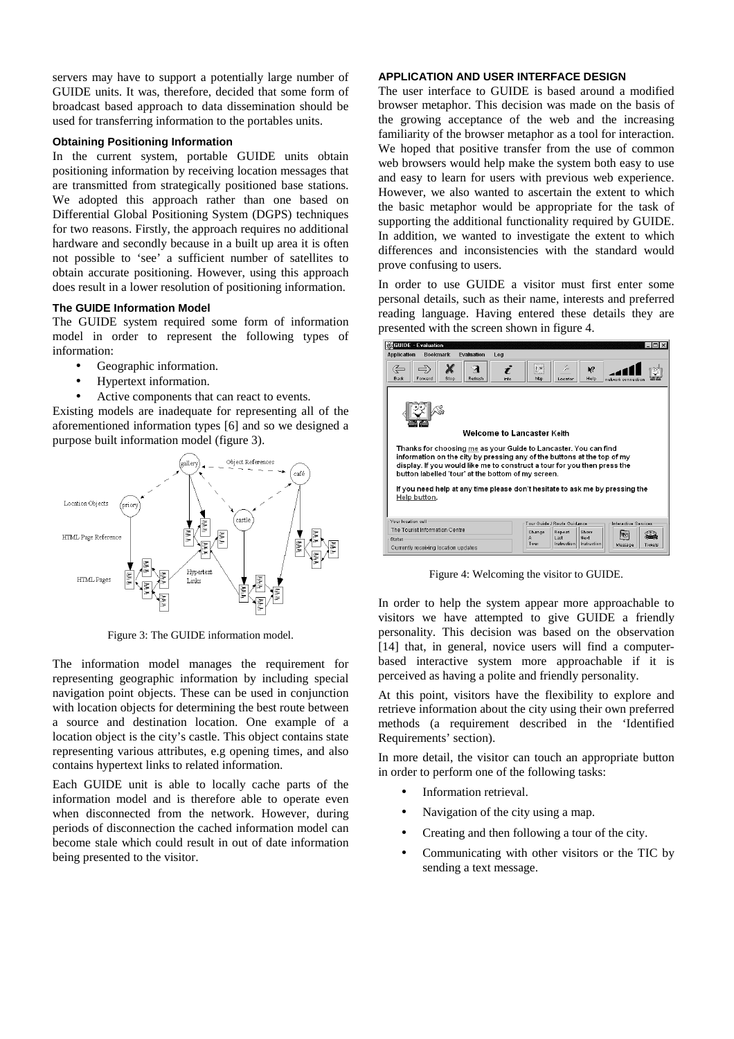servers may have to support a potentially large number of GUIDE units. It was, therefore, decided that some form of broadcast based approach to data dissemination should be used for transferring information to the portables units.

## **Obtaining Positioning Information**

In the current system, portable GUIDE units obtain positioning information by receiving location messages that are transmitted from strategically positioned base stations. We adopted this approach rather than one based on Differential Global Positioning System (DGPS) techniques for two reasons. Firstly, the approach requires no additional hardware and secondly because in a built up area it is often not possible to 'see' a sufficient number of satellites to obtain accurate positioning. However, using this approach does result in a lower resolution of positioning information.

## **The GUIDE Information Model**

The GUIDE system required some form of information model in order to represent the following types of information:

- Geographic information.
- Hypertext information.
- Active components that can react to events.

Existing models are inadequate for representing all of the aforementioned information types [6] and so we designed a purpose built information model (figure 3).



Figure 3: The GUIDE information model.

The information model manages the requirement for representing geographic information by including special navigation point objects. These can be used in conjunction with location objects for determining the best route between a source and destination location. One example of a location object is the city's castle. This object contains state representing various attributes, e.g opening times, and also contains hypertext links to related information.

Each GUIDE unit is able to locally cache parts of the information model and is therefore able to operate even when disconnected from the network. However, during periods of disconnection the cached information model can become stale which could result in out of date information being presented to the visitor.

## **APPLICATION AND USER INTERFACE DESIGN**

The user interface to GUIDE is based around a modified browser metaphor. This decision was made on the basis of the growing acceptance of the web and the increasing familiarity of the browser metaphor as a tool for interaction. We hoped that positive transfer from the use of common web browsers would help make the system both easy to use and easy to learn for users with previous web experience. However, we also wanted to ascertain the extent to which the basic metaphor would be appropriate for the task of supporting the additional functionality required by GUIDE. In addition, we wanted to investigate the extent to which differences and inconsistencies with the standard would prove confusing to users.

In order to use GUIDE a visitor must first enter some personal details, such as their name, interests and preferred reading language. Having entered these details they are presented with the screen shown in figure 4.

| <b>GUIDE - Evaluation</b>                                                                                                                                                                                                                                                    |  |  |  |  |  |  |
|------------------------------------------------------------------------------------------------------------------------------------------------------------------------------------------------------------------------------------------------------------------------------|--|--|--|--|--|--|
| <b>Application</b><br><b>Bookmark</b><br><b>Evaluation</b><br>Log                                                                                                                                                                                                            |  |  |  |  |  |  |
| 戶<br>⇔<br>i<br>$\Leftarrow$<br>х<br>$\frac{1}{2}$ M<br>$\mathbf{M}$<br>Back<br>Stop<br>Refresh<br>Forward<br>Info<br>Map<br>Help<br>Locator                                                                                                                                  |  |  |  |  |  |  |
| <b>Welcome to Lancaster Keith</b>                                                                                                                                                                                                                                            |  |  |  |  |  |  |
| Thanks for choosing me as your Guide to Lancaster. You can find<br>information on the city by pressing any of the buttons at the top of my<br>display. If you would like me to construct a tour for you then press the<br>button labelled 'tour' at the bottom of my screen. |  |  |  |  |  |  |
| If you need help at any time please don't hesitate to ask me by pressing the<br>Help button.                                                                                                                                                                                 |  |  |  |  |  |  |
| Your location cell.<br>Tour Guide / Route Guidance<br>Interactive Senrices<br>The Tourist Information Centre<br>Change<br>Repeat<br>Show<br>Last<br>Next<br>A<br>Status<br>Tour<br>Instruction<br>Instruction<br>Message<br>Tickets<br>Currently receiving location updates  |  |  |  |  |  |  |

Figure 4: Welcoming the visitor to GUIDE.

In order to help the system appear more approachable to visitors we have attempted to give GUIDE a friendly personality. This decision was based on the observation [14] that, in general, novice users will find a computerbased interactive system more approachable if it is perceived as having a polite and friendly personality.

At this point, visitors have the flexibility to explore and retrieve information about the city using their own preferred methods (a requirement described in the 'Identified Requirements' section).

In more detail, the visitor can touch an appropriate button in order to perform one of the following tasks:

- Information retrieval.
- Navigation of the city using a map.
- Creating and then following a tour of the city.
- Communicating with other visitors or the TIC by sending a text message.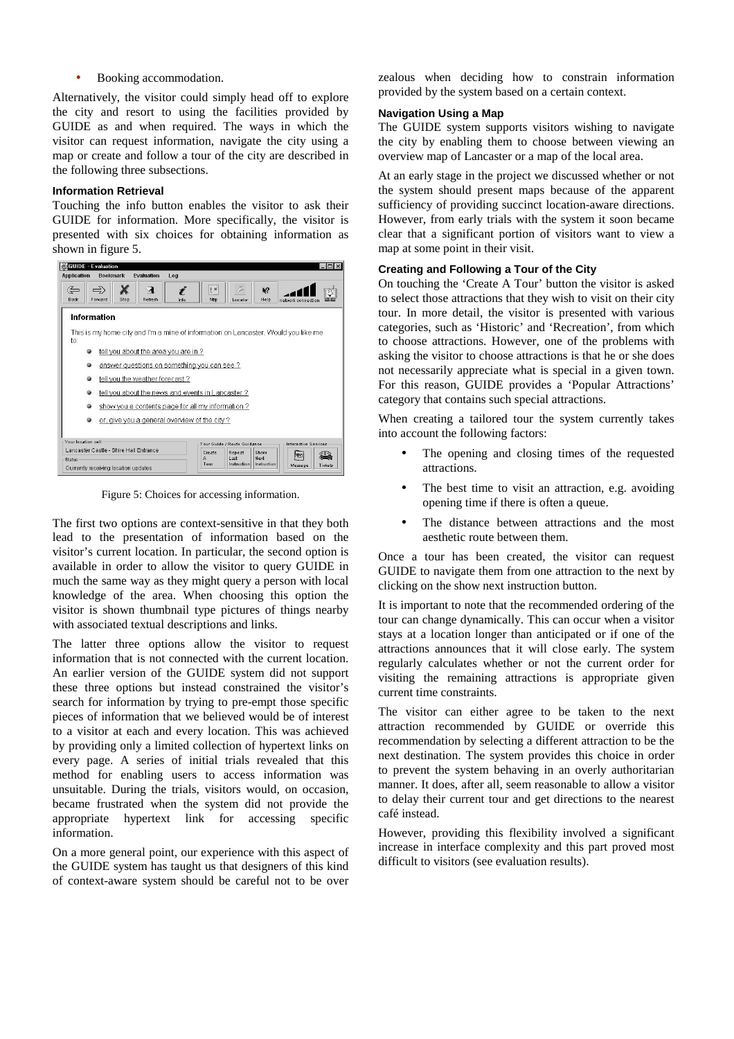• Booking accommodation.

Alternatively, the visitor could simply head off to explore the city and resort to using the facilities provided by GUIDE as and when required. The ways in which the visitor can request information, navigate the city using a map or create and follow a tour of the city are described in the following three subsections.

## **Information Retrieval**

Touching the info button enables the visitor to ask their GUIDE for information. More specifically, the visitor is presented with six choices for obtaining information as shown in figure 5.



Figure 5: Choices for accessing information.

The first two options are context-sensitive in that they both lead to the presentation of information based on the visitor's current location. In particular, the second option is available in order to allow the visitor to query GUIDE in much the same way as they might query a person with local knowledge of the area. When choosing this option the visitor is shown thumbnail type pictures of things nearby with associated textual descriptions and links.

The latter three options allow the visitor to request information that is not connected with the current location. An earlier version of the GUIDE system did not support these three options but instead constrained the visitor's search for information by trying to pre-empt those specific pieces of information that we believed would be of interest to a visitor at each and every location. This was achieved by providing only a limited collection of hypertext links on every page. A series of initial trials revealed that this method for enabling users to access information was unsuitable. During the trials, visitors would, on occasion, became frustrated when the system did not provide the appropriate hypertext link for accessing specific information.

On a more general point, our experience with this aspect of the GUIDE system has taught us that designers of this kind of context-aware system should be careful not to be over

zealous when deciding how to constrain information provided by the system based on a certain context.

## **Navigation Using a Map**

The GUIDE system supports visitors wishing to navigate the city by enabling them to choose between viewing an overview map of Lancaster or a map of the local area.

At an early stage in the project we discussed whether or not the system should present maps because of the apparent sufficiency of providing succinct location-aware directions. However, from early trials with the system it soon became clear that a significant portion of visitors want to view a map at some point in their visit.

## **Creating and Following a Tour of the City**

On touching the 'Create A Tour' button the visitor is asked to select those attractions that they wish to visit on their city tour. In more detail, the visitor is presented with various categories, such as 'Historic' and 'Recreation', from which to choose attractions. However, one of the problems with asking the visitor to choose attractions is that he or she does not necessarily appreciate what is special in a given town. For this reason, GUIDE provides a 'Popular Attractions' category that contains such special attractions.

When creating a tailored tour the system currently takes into account the following factors:

- The opening and closing times of the requested attractions.
- The best time to visit an attraction, e.g. avoiding opening time if there is often a queue.
- The distance between attractions and the most aesthetic route between them.

Once a tour has been created, the visitor can request GUIDE to navigate them from one attraction to the next by clicking on the show next instruction button.

It is important to note that the recommended ordering of the tour can change dynamically. This can occur when a visitor stays at a location longer than anticipated or if one of the attractions announces that it will close early. The system regularly calculates whether or not the current order for visiting the remaining attractions is appropriate given current time constraints.

The visitor can either agree to be taken to the next attraction recommended by GUIDE or override this recommendation by selecting a different attraction to be the next destination. The system provides this choice in order to prevent the system behaving in an overly authoritarian manner. It does, after all, seem reasonable to allow a visitor to delay their current tour and get directions to the nearest café instead.

However, providing this flexibility involved a significant increase in interface complexity and this part proved most difficult to visitors (see evaluation results).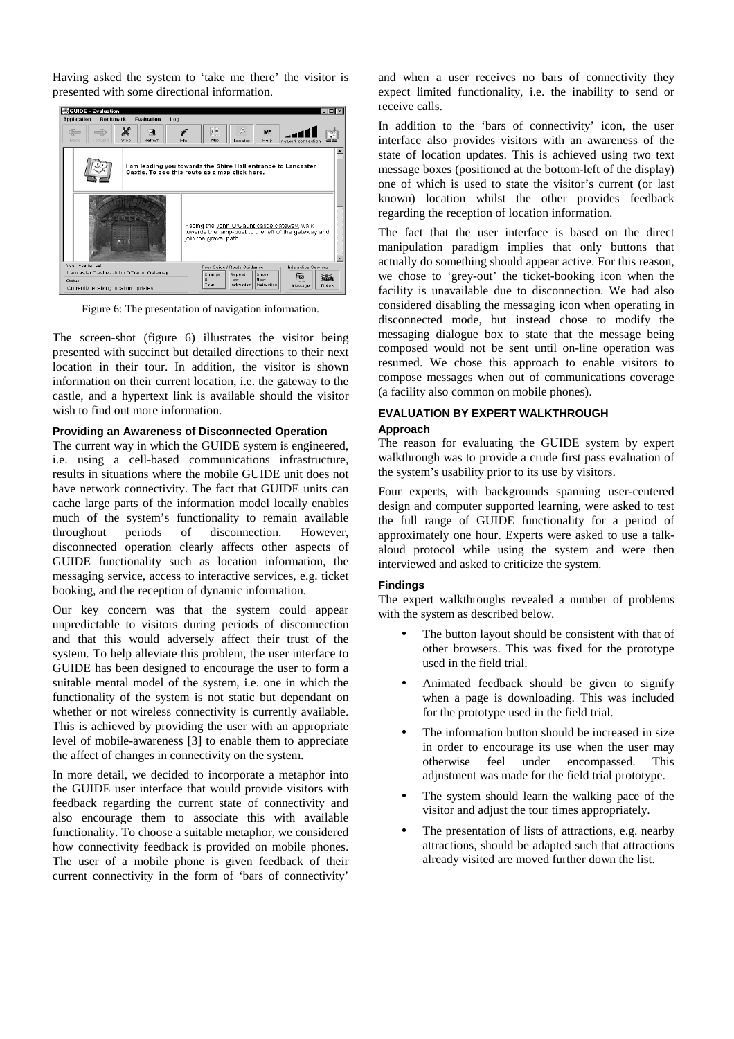Having asked the system to 'take me there' the visitor is presented with some directional information.



Figure 6: The presentation of navigation information.

The screen-shot (figure 6) illustrates the visitor being presented with succinct but detailed directions to their next location in their tour. In addition, the visitor is shown information on their current location, i.e. the gateway to the castle, and a hypertext link is available should the visitor wish to find out more information.

#### **Providing an Awareness of Disconnected Operation**

The current way in which the GUIDE system is engineered, i.e. using a cell-based communications infrastructure, results in situations where the mobile GUIDE unit does not have network connectivity. The fact that GUIDE units can cache large parts of the information model locally enables much of the system's functionality to remain available throughout periods of disconnection. However, disconnected operation clearly affects other aspects of GUIDE functionality such as location information, the messaging service, access to interactive services, e.g. ticket booking, and the reception of dynamic information.

Our key concern was that the system could appear unpredictable to visitors during periods of disconnection and that this would adversely affect their trust of the system. To help alleviate this problem, the user interface to GUIDE has been designed to encourage the user to form a suitable mental model of the system, i.e. one in which the functionality of the system is not static but dependant on whether or not wireless connectivity is currently available. This is achieved by providing the user with an appropriate level of mobile-awareness [3] to enable them to appreciate the affect of changes in connectivity on the system.

In more detail, we decided to incorporate a metaphor into the GUIDE user interface that would provide visitors with feedback regarding the current state of connectivity and also encourage them to associate this with available functionality. To choose a suitable metaphor, we considered how connectivity feedback is provided on mobile phones. The user of a mobile phone is given feedback of their current connectivity in the form of 'bars of connectivity'

and when a user receives no bars of connectivity they expect limited functionality, i.e. the inability to send or receive calls.

In addition to the 'bars of connectivity' icon, the user interface also provides visitors with an awareness of the state of location updates. This is achieved using two text message boxes (positioned at the bottom-left of the display) one of which is used to state the visitor's current (or last known) location whilst the other provides feedback regarding the reception of location information.

The fact that the user interface is based on the direct manipulation paradigm implies that only buttons that actually do something should appear active. For this reason, we chose to 'grey-out' the ticket-booking icon when the facility is unavailable due to disconnection. We had also considered disabling the messaging icon when operating in disconnected mode, but instead chose to modify the messaging dialogue box to state that the message being composed would not be sent until on-line operation was resumed. We chose this approach to enable visitors to compose messages when out of communications coverage (a facility also common on mobile phones).

## **EVALUATION BY EXPERT WALKTHROUGH Approach**

The reason for evaluating the GUIDE system by expert walkthrough was to provide a crude first pass evaluation of the system's usability prior to its use by visitors.

Four experts, with backgrounds spanning user-centered design and computer supported learning, were asked to test the full range of GUIDE functionality for a period of approximately one hour. Experts were asked to use a talkaloud protocol while using the system and were then interviewed and asked to criticize the system.

## **Findings**

The expert walkthroughs revealed a number of problems with the system as described below.

- The button layout should be consistent with that of other browsers. This was fixed for the prototype used in the field trial.
- Animated feedback should be given to signify when a page is downloading. This was included for the prototype used in the field trial.
- The information button should be increased in size in order to encourage its use when the user may otherwise feel under encompassed. This adjustment was made for the field trial prototype.
- The system should learn the walking pace of the visitor and adjust the tour times appropriately.
- The presentation of lists of attractions, e.g. nearby attractions, should be adapted such that attractions already visited are moved further down the list.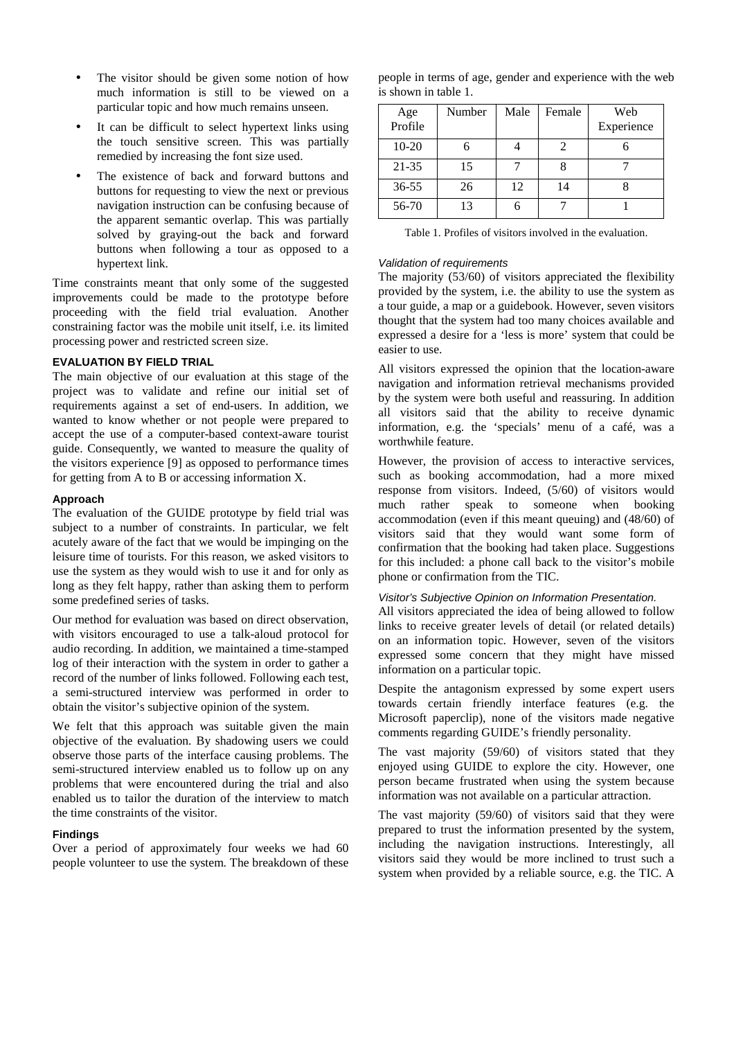- The visitor should be given some notion of how much information is still to be viewed on a particular topic and how much remains unseen.
- It can be difficult to select hypertext links using the touch sensitive screen. This was partially remedied by increasing the font size used.
- The existence of back and forward buttons and buttons for requesting to view the next or previous navigation instruction can be confusing because of the apparent semantic overlap. This was partially solved by graying-out the back and forward buttons when following a tour as opposed to a hypertext link.

Time constraints meant that only some of the suggested improvements could be made to the prototype before proceeding with the field trial evaluation. Another constraining factor was the mobile unit itself, i.e. its limited processing power and restricted screen size.

# **EVALUATION BY FIELD TRIAL**

The main objective of our evaluation at this stage of the project was to validate and refine our initial set of requirements against a set of end-users. In addition, we wanted to know whether or not people were prepared to accept the use of a computer-based context-aware tourist guide. Consequently, we wanted to measure the quality of the visitors experience [9] as opposed to performance times for getting from A to B or accessing information X.

#### **Approach**

The evaluation of the GUIDE prototype by field trial was subject to a number of constraints. In particular, we felt acutely aware of the fact that we would be impinging on the leisure time of tourists. For this reason, we asked visitors to use the system as they would wish to use it and for only as long as they felt happy, rather than asking them to perform some predefined series of tasks.

Our method for evaluation was based on direct observation, with visitors encouraged to use a talk-aloud protocol for audio recording. In addition, we maintained a time-stamped log of their interaction with the system in order to gather a record of the number of links followed. Following each test, a semi-structured interview was performed in order to obtain the visitor's subjective opinion of the system.

We felt that this approach was suitable given the main objective of the evaluation. By shadowing users we could observe those parts of the interface causing problems. The semi-structured interview enabled us to follow up on any problems that were encountered during the trial and also enabled us to tailor the duration of the interview to match the time constraints of the visitor.

#### **Findings**

Over a period of approximately four weeks we had 60 people volunteer to use the system. The breakdown of these

| people in terms of age, gender and experience with the web |  |  |
|------------------------------------------------------------|--|--|
| is shown in table 1.                                       |  |  |

| Age<br>Profile | Number | Male | Female | Web<br>Experience |
|----------------|--------|------|--------|-------------------|
| $10 - 20$      |        |      |        |                   |
| 21-35          | 15     |      |        |                   |
| $36 - 55$      | 26     | 12   | 14     |                   |
| 56-70          | 13     |      |        |                   |

Table 1. Profiles of visitors involved in the evaluation.

## *Validation of requirements*

The majority (53/60) of visitors appreciated the flexibility provided by the system, i.e. the ability to use the system as a tour guide, a map or a guidebook. However, seven visitors thought that the system had too many choices available and expressed a desire for a 'less is more' system that could be easier to use.

All visitors expressed the opinion that the location-aware navigation and information retrieval mechanisms provided by the system were both useful and reassuring. In addition all visitors said that the ability to receive dynamic information, e.g. the 'specials' menu of a café, was a worthwhile feature.

However, the provision of access to interactive services, such as booking accommodation, had a more mixed response from visitors. Indeed, (5/60) of visitors would much rather speak to someone when booking accommodation (even if this meant queuing) and (48/60) of visitors said that they would want some form of confirmation that the booking had taken place. Suggestions for this included: a phone call back to the visitor's mobile phone or confirmation from the TIC.

# *Visitor's Subjective Opinion on Information Presentation.*

All visitors appreciated the idea of being allowed to follow links to receive greater levels of detail (or related details) on an information topic. However, seven of the visitors expressed some concern that they might have missed information on a particular topic.

Despite the antagonism expressed by some expert users towards certain friendly interface features (e.g. the Microsoft paperclip), none of the visitors made negative comments regarding GUIDE's friendly personality.

The vast majority (59/60) of visitors stated that they enjoyed using GUIDE to explore the city. However, one person became frustrated when using the system because information was not available on a particular attraction.

The vast majority (59/60) of visitors said that they were prepared to trust the information presented by the system, including the navigation instructions. Interestingly, all visitors said they would be more inclined to trust such a system when provided by a reliable source, e.g. the TIC. A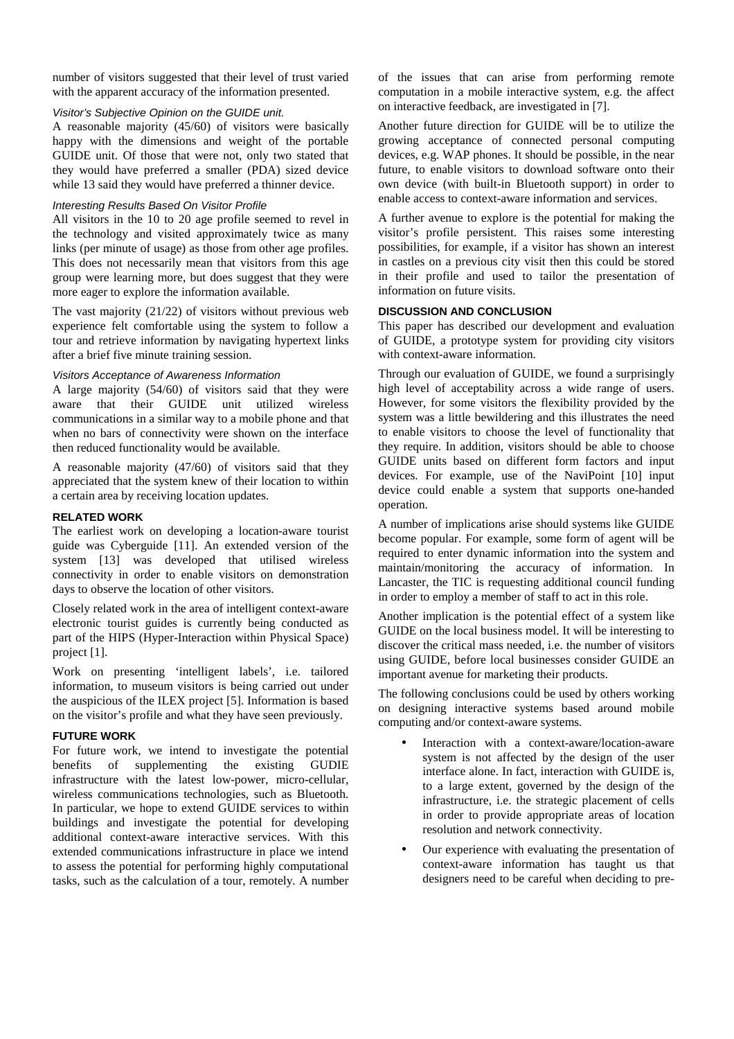number of visitors suggested that their level of trust varied with the apparent accuracy of the information presented.

#### *Visitor's Subjective Opinion on the GUIDE unit.*

A reasonable majority (45/60) of visitors were basically happy with the dimensions and weight of the portable GUIDE unit. Of those that were not, only two stated that they would have preferred a smaller (PDA) sized device while 13 said they would have preferred a thinner device.

#### *Interesting Results Based On Visitor Profile*

All visitors in the 10 to 20 age profile seemed to revel in the technology and visited approximately twice as many links (per minute of usage) as those from other age profiles. This does not necessarily mean that visitors from this age group were learning more, but does suggest that they were more eager to explore the information available.

The vast majority (21/22) of visitors without previous web experience felt comfortable using the system to follow a tour and retrieve information by navigating hypertext links after a brief five minute training session.

#### *Visitors Acceptance of Awareness Information*

A large majority (54/60) of visitors said that they were aware that their GUIDE unit utilized wireless communications in a similar way to a mobile phone and that when no bars of connectivity were shown on the interface then reduced functionality would be available.

A reasonable majority (47/60) of visitors said that they appreciated that the system knew of their location to within a certain area by receiving location updates.

## **RELATED WORK**

The earliest work on developing a location-aware tourist guide was Cyberguide [11]. An extended version of the system [13] was developed that utilised wireless connectivity in order to enable visitors on demonstration days to observe the location of other visitors.

Closely related work in the area of intelligent context-aware electronic tourist guides is currently being conducted as part of the HIPS (Hyper-Interaction within Physical Space) project [1].

Work on presenting 'intelligent labels', i.e. tailored information, to museum visitors is being carried out under the auspicious of the ILEX project [5]. Information is based on the visitor's profile and what they have seen previously.

# **FUTURE WORK**

For future work, we intend to investigate the potential benefits of supplementing the existing GUDIE infrastructure with the latest low-power, micro-cellular, wireless communications technologies, such as Bluetooth. In particular, we hope to extend GUIDE services to within buildings and investigate the potential for developing additional context-aware interactive services. With this extended communications infrastructure in place we intend to assess the potential for performing highly computational tasks, such as the calculation of a tour, remotely. A number

of the issues that can arise from performing remote computation in a mobile interactive system, e.g. the affect on interactive feedback, are investigated in [7].

Another future direction for GUIDE will be to utilize the growing acceptance of connected personal computing devices, e.g. WAP phones. It should be possible, in the near future, to enable visitors to download software onto their own device (with built-in Bluetooth support) in order to enable access to context-aware information and services.

A further avenue to explore is the potential for making the visitor's profile persistent. This raises some interesting possibilities, for example, if a visitor has shown an interest in castles on a previous city visit then this could be stored in their profile and used to tailor the presentation of information on future visits.

## **DISCUSSION AND CONCLUSION**

This paper has described our development and evaluation of GUIDE, a prototype system for providing city visitors with context-aware information.

Through our evaluation of GUIDE, we found a surprisingly high level of acceptability across a wide range of users. However, for some visitors the flexibility provided by the system was a little bewildering and this illustrates the need to enable visitors to choose the level of functionality that they require. In addition, visitors should be able to choose GUIDE units based on different form factors and input devices. For example, use of the NaviPoint [10] input device could enable a system that supports one-handed operation.

A number of implications arise should systems like GUIDE become popular. For example, some form of agent will be required to enter dynamic information into the system and maintain/monitoring the accuracy of information. In Lancaster, the TIC is requesting additional council funding in order to employ a member of staff to act in this role.

Another implication is the potential effect of a system like GUIDE on the local business model. It will be interesting to discover the critical mass needed, i.e. the number of visitors using GUIDE, before local businesses consider GUIDE an important avenue for marketing their products.

The following conclusions could be used by others working on designing interactive systems based around mobile computing and/or context-aware systems.

- Interaction with a context-aware/location-aware system is not affected by the design of the user interface alone. In fact, interaction with GUIDE is, to a large extent, governed by the design of the infrastructure, i.e. the strategic placement of cells in order to provide appropriate areas of location resolution and network connectivity.
- Our experience with evaluating the presentation of context-aware information has taught us that designers need to be careful when deciding to pre-